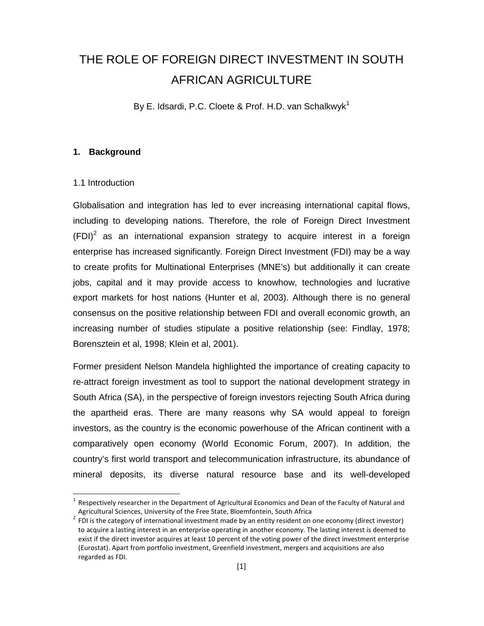# THE ROLE OF FOREIGN DIRECT INVESTMENT IN SOUTH AFRICAN AGRICULTURE

By E. Idsardi, P.C. Cloete & Prof. H.D. van Schalkwyk<sup>1</sup>

### **1. Background**

### 1.1 Introduction

1

Globalisation and integration has led to ever increasing international capital flows, including to developing nations. Therefore, the role of Foreign Direct Investment  $(FDI)<sup>2</sup>$  as an international expansion strategy to acquire interest in a foreign enterprise has increased significantly. Foreign Direct Investment (FDI) may be a way to create profits for Multinational Enterprises (MNE's) but additionally it can create jobs, capital and it may provide access to knowhow, technologies and lucrative export markets for host nations (Hunter et al, 2003). Although there is no general consensus on the positive relationship between FDI and overall economic growth, an increasing number of studies stipulate a positive relationship (see: Findlay, 1978; Borensztein et al, 1998; Klein et al, 2001).

Former president Nelson Mandela highlighted the importance of creating capacity to re-attract foreign investment as tool to support the national development strategy in South Africa (SA), in the perspective of foreign investors rejecting South Africa during the apartheid eras. There are many reasons why SA would appeal to foreign investors, as the country is the economic powerhouse of the African continent with a comparatively open economy (World Economic Forum, 2007). In addition, the country's first world transport and telecommunication infrastructure, its abundance of mineral deposits, its diverse natural resource base and its well-developed

 $1$  Respectively researcher in the Department of Agricultural Economics and Dean of the Faculty of Natural and Agricultural Sciences, University of the Free State, Bloemfontein, South Africa

 $2$  FDI is the category of international investment made by an entity resident on one economy (direct investor) to acquire a lasting interest in an enterprise operating in another economy. The lasting interest is deemed to exist if the direct investor acquires at least 10 percent of the voting power of the direct investment enterprise (Eurostat). Apart from portfolio investment, Greenfield investment, mergers and acquisitions are also regarded as FDI.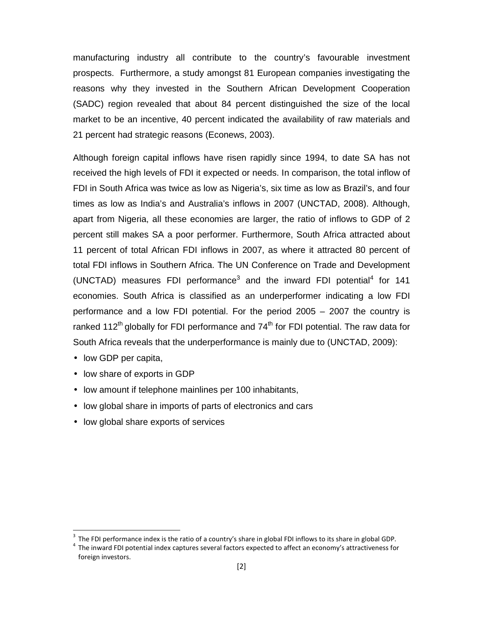manufacturing industry all contribute to the country's favourable investment prospects. Furthermore, a study amongst 81 European companies investigating the reasons why they invested in the Southern African Development Cooperation (SADC) region revealed that about 84 percent distinguished the size of the local market to be an incentive, 40 percent indicated the availability of raw materials and 21 percent had strategic reasons (Econews, 2003).

Although foreign capital inflows have risen rapidly since 1994, to date SA has not received the high levels of FDI it expected or needs. In comparison, the total inflow of FDI in South Africa was twice as low as Nigeria's, six time as low as Brazil's, and four times as low as India's and Australia's inflows in 2007 (UNCTAD, 2008). Although, apart from Nigeria, all these economies are larger, the ratio of inflows to GDP of 2 percent still makes SA a poor performer. Furthermore, South Africa attracted about 11 percent of total African FDI inflows in 2007, as where it attracted 80 percent of total FDI inflows in Southern Africa. The UN Conference on Trade and Development (UNCTAD) measures FDI performance<sup>3</sup> and the inward FDI potential<sup>4</sup> for 141 economies. South Africa is classified as an underperformer indicating a low FDI performance and a low FDI potential. For the period 2005 – 2007 the country is ranked 112<sup>th</sup> globally for FDI performance and  $74<sup>th</sup>$  for FDI potential. The raw data for South Africa reveals that the underperformance is mainly due to (UNCTAD, 2009):

• low GDP per capita,

 $\overline{a}$ 

- low share of exports in GDP
- low amount if telephone mainlines per 100 inhabitants,
- low global share in imports of parts of electronics and cars
- low global share exports of services

 $3$  The FDI performance index is the ratio of a country's share in global FDI inflows to its share in global GDP.

<sup>&</sup>lt;sup>4</sup> The inward FDI potential index captures several factors expected to affect an economy's attractiveness for foreign investors.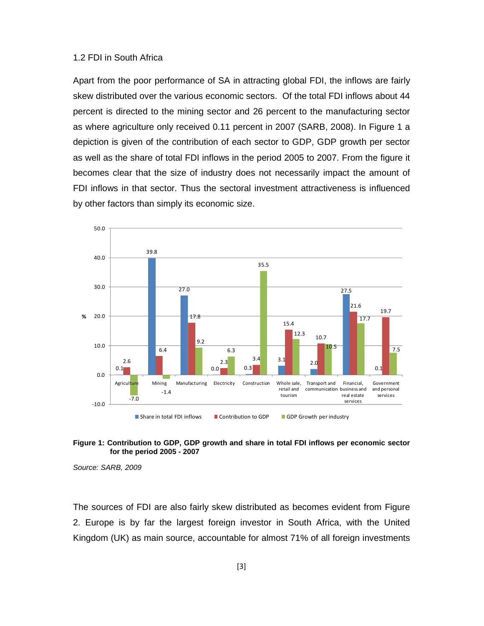### 1.2 FDI in South Africa

Apart from the poor performance of SA in attracting global FDI, the inflows are fairly skew distributed over the various economic sectors. Of the total FDI inflows about 44 percent is directed to the mining sector and 26 percent to the manufacturing sector as where agriculture only received 0.11 percent in 2007 (SARB, 2008). In Figure 1 a depiction is given of the contribution of each sector to GDP, GDP growth per sector as well as the share of total FDI inflows in the period 2005 to 2007. From the figure it becomes clear that the size of industry does not necessarily impact the amount of FDI inflows in that sector. Thus the sectoral investment attractiveness is influenced by other factors than simply its economic size.



### **Figure 1: Contribution to GDP, GDP growth and share in total FDI inflows per economic sector for the period 2005 - 2007**

Source: SARB, 2009

The sources of FDI are also fairly skew distributed as becomes evident from Figure 2. Europe is by far the largest foreign investor in South Africa, with the United Kingdom (UK) as main source, accountable for almost 71% of all foreign investments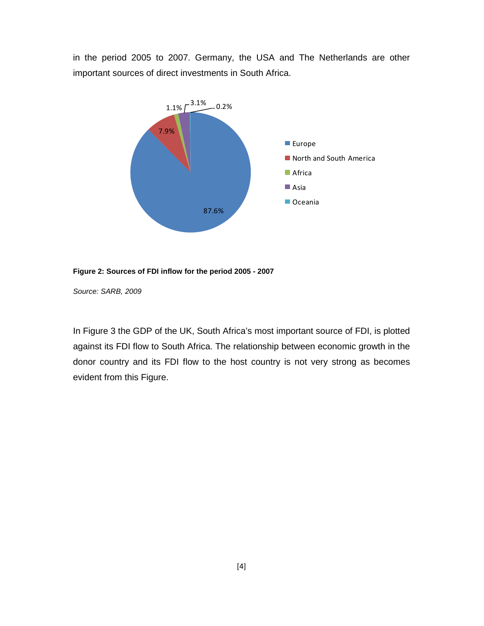in the period 2005 to 2007. Germany, the USA and The Netherlands are other important sources of direct investments in South Africa.



**Figure 2: Sources of FDI inflow for the period 2005 - 2007** 

Source: SARB, 2009

In Figure 3 the GDP of the UK, South Africa's most important source of FDI, is plotted against its FDI flow to South Africa. The relationship between economic growth in the donor country and its FDI flow to the host country is not very strong as becomes evident from this Figure.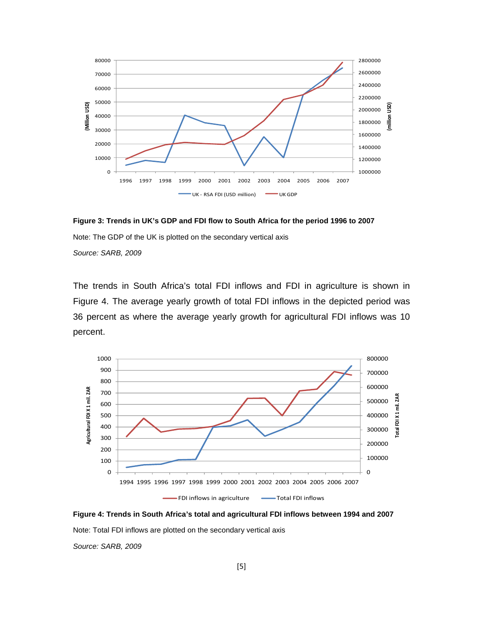

**Figure 3: Trends in UK's GDP and FDI flow to South Africa for the period 1996 to 2007** 

Note: The GDP of the UK is plotted on the secondary vertical axis

Source: SARB, 2009

The trends in South Africa's total FDI inflows and FDI in agriculture is shown in Figure 4. The average yearly growth of total FDI inflows in the depicted period was 36 percent as where the average yearly growth for agricultural FDI inflows was 10 percent.



**Figure 4: Trends in South Africa's total and agricultural FDI inflows between 1994 and 2007** 

Note: Total FDI inflows are plotted on the secondary vertical axis

Source: SARB, 2009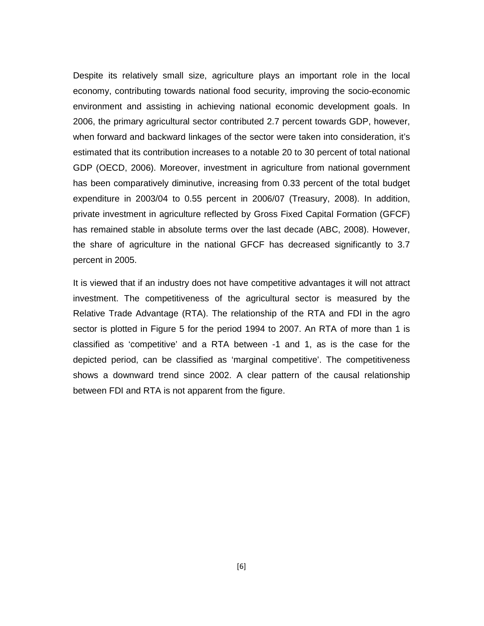Despite its relatively small size, agriculture plays an important role in the local economy, contributing towards national food security, improving the socio-economic environment and assisting in achieving national economic development goals. In 2006, the primary agricultural sector contributed 2.7 percent towards GDP, however, when forward and backward linkages of the sector were taken into consideration, it's estimated that its contribution increases to a notable 20 to 30 percent of total national GDP (OECD, 2006). Moreover, investment in agriculture from national government has been comparatively diminutive, increasing from 0.33 percent of the total budget expenditure in 2003/04 to 0.55 percent in 2006/07 (Treasury, 2008). In addition, private investment in agriculture reflected by Gross Fixed Capital Formation (GFCF) has remained stable in absolute terms over the last decade (ABC, 2008). However, the share of agriculture in the national GFCF has decreased significantly to 3.7 percent in 2005.

It is viewed that if an industry does not have competitive advantages it will not attract investment. The competitiveness of the agricultural sector is measured by the Relative Trade Advantage (RTA). The relationship of the RTA and FDI in the agro sector is plotted in Figure 5 for the period 1994 to 2007. An RTA of more than 1 is classified as 'competitive' and a RTA between -1 and 1, as is the case for the depicted period, can be classified as 'marginal competitive'. The competitiveness shows a downward trend since 2002. A clear pattern of the causal relationship between FDI and RTA is not apparent from the figure.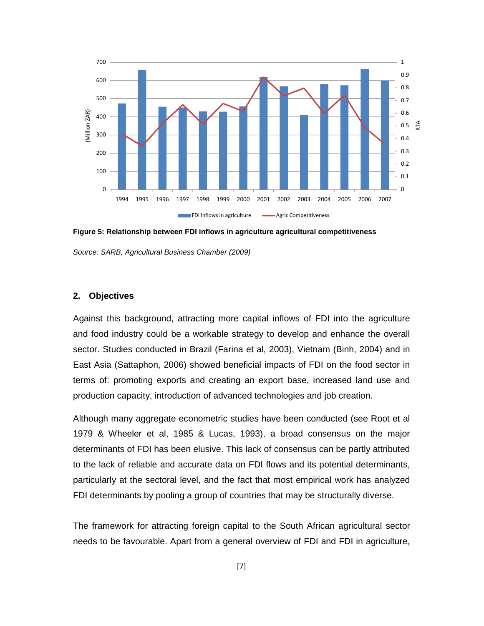

**Figure 5: Relationship between FDI inflows in agriculture agricultural competitiveness** 

Source: SARB, Agricultural Business Chamber (2009)

### **2. Objectives**

Against this background, attracting more capital inflows of FDI into the agriculture and food industry could be a workable strategy to develop and enhance the overall sector. Studies conducted in Brazil (Farina et al, 2003), Vietnam (Binh, 2004) and in East Asia (Sattaphon, 2006) showed beneficial impacts of FDI on the food sector in terms of: promoting exports and creating an export base, increased land use and production capacity, introduction of advanced technologies and job creation.

Although many aggregate econometric studies have been conducted (see Root et al 1979 & Wheeler et al, 1985 & Lucas, 1993), a broad consensus on the major determinants of FDI has been elusive. This lack of consensus can be partly attributed to the lack of reliable and accurate data on FDI flows and its potential determinants, particularly at the sectoral level, and the fact that most empirical work has analyzed FDI determinants by pooling a group of countries that may be structurally diverse.

The framework for attracting foreign capital to the South African agricultural sector needs to be favourable. Apart from a general overview of FDI and FDI in agriculture,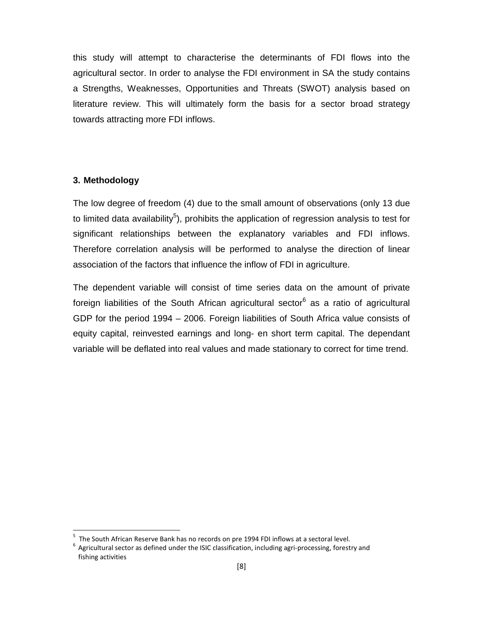this study will attempt to characterise the determinants of FDI flows into the agricultural sector. In order to analyse the FDI environment in SA the study contains a Strengths, Weaknesses, Opportunities and Threats (SWOT) analysis based on literature review. This will ultimately form the basis for a sector broad strategy towards attracting more FDI inflows.

# **3. Methodology**

 $\overline{a}$ 

The low degree of freedom (4) due to the small amount of observations (only 13 due to limited data availability<sup>5</sup>), prohibits the application of regression analysis to test for significant relationships between the explanatory variables and FDI inflows. Therefore correlation analysis will be performed to analyse the direction of linear association of the factors that influence the inflow of FDI in agriculture.

The dependent variable will consist of time series data on the amount of private foreign liabilities of the South African agricultural sector<sup>6</sup> as a ratio of agricultural GDP for the period 1994 – 2006. Foreign liabilities of South Africa value consists of equity capital, reinvested earnings and long- en short term capital. The dependant variable will be deflated into real values and made stationary to correct for time trend.

<sup>&</sup>lt;sup>5</sup> The South African Reserve Bank has no records on pre 1994 FDI inflows at a sectoral level.

 $^6$  Agricultural sector as defined under the ISIC classification, including agri-processing, forestry and fishing activities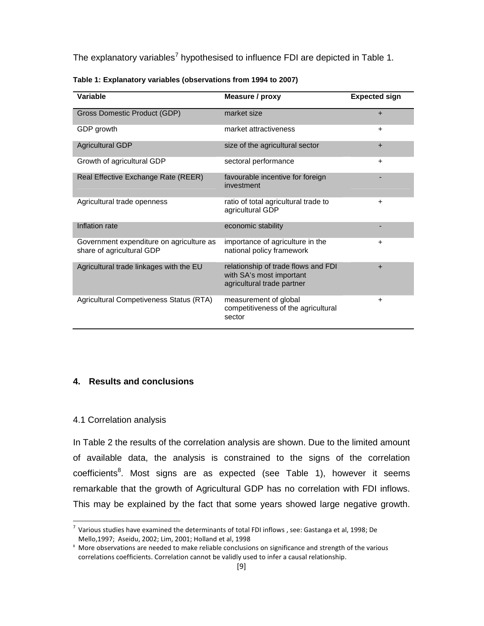The explanatory variables<sup>7</sup> hypothesised to influence FDI are depicted in Table 1.

| Variable                                                              | Measure / proxy                                                                               | <b>Expected sign</b> |
|-----------------------------------------------------------------------|-----------------------------------------------------------------------------------------------|----------------------|
| Gross Domestic Product (GDP)                                          | market size                                                                                   | $+$                  |
| GDP growth                                                            | market attractiveness                                                                         | $\ddot{}$            |
| <b>Agricultural GDP</b>                                               | size of the agricultural sector                                                               | $+$                  |
| Growth of agricultural GDP                                            | sectoral performance                                                                          | $\ddot{}$            |
| Real Effective Exchange Rate (REER)                                   | favourable incentive for foreign<br>investment                                                |                      |
| Agricultural trade openness                                           | ratio of total agricultural trade to<br>agricultural GDP                                      | $\ddot{}$            |
| Inflation rate                                                        | economic stability                                                                            |                      |
| Government expenditure on agriculture as<br>share of agricultural GDP | importance of agriculture in the<br>national policy framework                                 | $\ddot{}$            |
| Agricultural trade linkages with the EU                               | relationship of trade flows and FDI<br>with SA's most important<br>agricultural trade partner | $+$                  |
| Agricultural Competiveness Status (RTA)                               | measurement of global<br>competitiveness of the agricultural<br>sector                        | $\ddot{}$            |

|  | Table 1: Explanatory variables (observations from 1994 to 2007) |
|--|-----------------------------------------------------------------|
|--|-----------------------------------------------------------------|

### **4. Results and conclusions**

### 4.1 Correlation analysis

l,

In Table 2 the results of the correlation analysis are shown. Due to the limited amount of available data, the analysis is constrained to the signs of the correlation coefficients<sup>8</sup>. Most signs are as expected (see Table 1), however it seems remarkable that the growth of Agricultural GDP has no correlation with FDI inflows. This may be explained by the fact that some years showed large negative growth.

<sup>&</sup>lt;sup>7</sup> Various studies have examined the determinants of total FDI inflows, see: Gastanga et al, 1998; De Mello,1997; Aseidu, 2002; Lim, 2001; Holland et al, 1998

<sup>&</sup>lt;sup>8</sup> More observations are needed to make reliable conclusions on significance and strength of the various correlations coefficients. Correlation cannot be validly used to infer a causal relationship.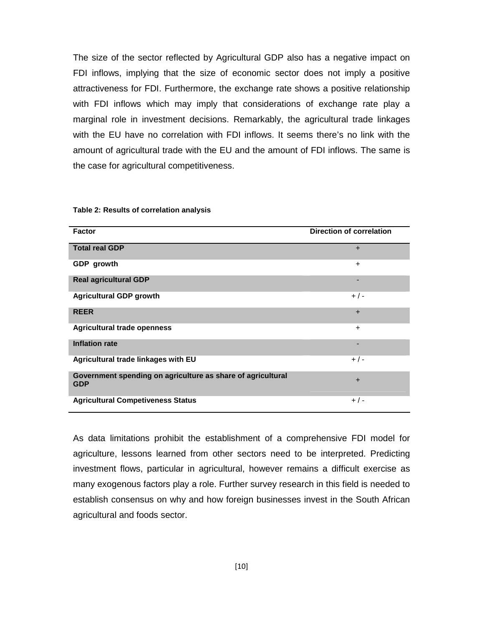The size of the sector reflected by Agricultural GDP also has a negative impact on FDI inflows, implying that the size of economic sector does not imply a positive attractiveness for FDI. Furthermore, the exchange rate shows a positive relationship with FDI inflows which may imply that considerations of exchange rate play a marginal role in investment decisions. Remarkably, the agricultural trade linkages with the EU have no correlation with FDI inflows. It seems there's no link with the amount of agricultural trade with the EU and the amount of FDI inflows. The same is the case for agricultural competitiveness.

| <b>Factor</b>                                                             | <b>Direction of correlation</b> |
|---------------------------------------------------------------------------|---------------------------------|
| <b>Total real GDP</b>                                                     | $+$                             |
| GDP growth                                                                | $+$                             |
| <b>Real agricultural GDP</b>                                              |                                 |
| <b>Agricultural GDP growth</b>                                            | $+/-$                           |
| <b>REER</b>                                                               | $+$                             |
| <b>Agricultural trade openness</b>                                        | $+$                             |
| <b>Inflation rate</b>                                                     |                                 |
| Agricultural trade linkages with EU                                       | $+/-$                           |
| Government spending on agriculture as share of agricultural<br><b>GDP</b> | $+$                             |
| <b>Agricultural Competiveness Status</b>                                  | $+/-$                           |

#### **Table 2: Results of correlation analysis**

As data limitations prohibit the establishment of a comprehensive FDI model for agriculture, lessons learned from other sectors need to be interpreted. Predicting investment flows, particular in agricultural, however remains a difficult exercise as many exogenous factors play a role. Further survey research in this field is needed to establish consensus on why and how foreign businesses invest in the South African agricultural and foods sector.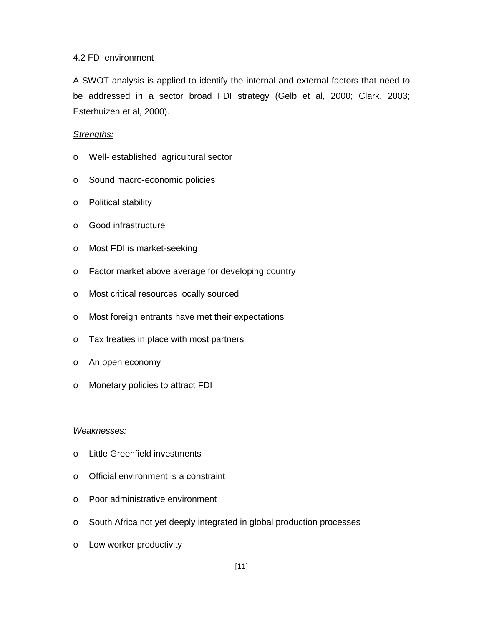### 4.2 FDI environment

A SWOT analysis is applied to identify the internal and external factors that need to be addressed in a sector broad FDI strategy (Gelb et al, 2000; Clark, 2003; Esterhuizen et al, 2000).

## Strengths:

- o Well- established agricultural sector
- o Sound macro-economic policies
- o Political stability
- o Good infrastructure
- o Most FDI is market-seeking
- o Factor market above average for developing country
- o Most critical resources locally sourced
- o Most foreign entrants have met their expectations
- o Tax treaties in place with most partners
- o An open economy
- o Monetary policies to attract FDI

### Weaknesses:

- o Little Greenfield investments
- o Official environment is a constraint
- o Poor administrative environment
- o South Africa not yet deeply integrated in global production processes
- o Low worker productivity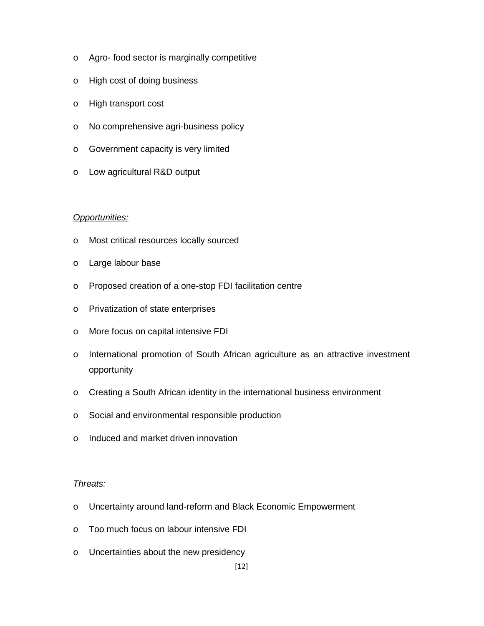- o Agro- food sector is marginally competitive
- o High cost of doing business
- o High transport cost
- o No comprehensive agri-business policy
- o Government capacity is very limited
- o Low agricultural R&D output

# Opportunities:

- o Most critical resources locally sourced
- o Large labour base
- o Proposed creation of a one-stop FDI facilitation centre
- o Privatization of state enterprises
- o More focus on capital intensive FDI
- o International promotion of South African agriculture as an attractive investment opportunity
- o Creating a South African identity in the international business environment
- o Social and environmental responsible production
- o Induced and market driven innovation

# Threats:

- o Uncertainty around land-reform and Black Economic Empowerment
- o Too much focus on labour intensive FDI
- o Uncertainties about the new presidency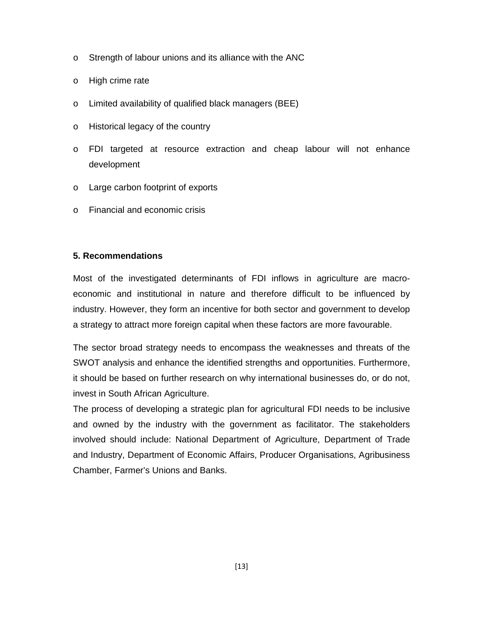- o Strength of labour unions and its alliance with the ANC
- o High crime rate
- o Limited availability of qualified black managers (BEE)
- o Historical legacy of the country
- o FDI targeted at resource extraction and cheap labour will not enhance development
- o Large carbon footprint of exports
- o Financial and economic crisis

## **5. Recommendations**

Most of the investigated determinants of FDI inflows in agriculture are macroeconomic and institutional in nature and therefore difficult to be influenced by industry. However, they form an incentive for both sector and government to develop a strategy to attract more foreign capital when these factors are more favourable.

The sector broad strategy needs to encompass the weaknesses and threats of the SWOT analysis and enhance the identified strengths and opportunities. Furthermore, it should be based on further research on why international businesses do, or do not, invest in South African Agriculture.

The process of developing a strategic plan for agricultural FDI needs to be inclusive and owned by the industry with the government as facilitator. The stakeholders involved should include: National Department of Agriculture, Department of Trade and Industry, Department of Economic Affairs, Producer Organisations, Agribusiness Chamber, Farmer's Unions and Banks.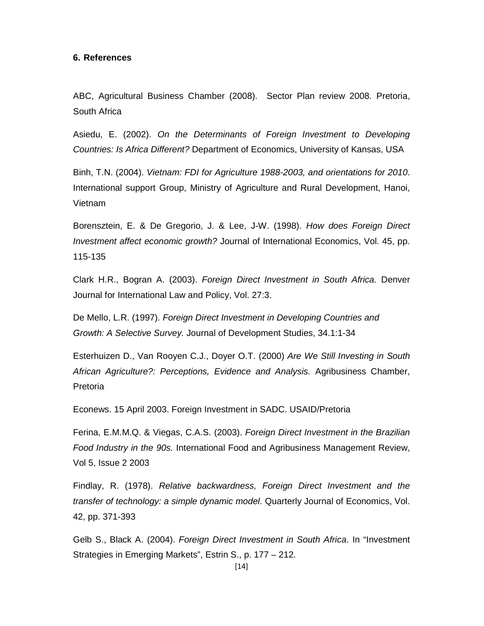### **6. References**

ABC, Agricultural Business Chamber (2008). Sector Plan review 2008. Pretoria, South Africa

Asiedu, E. (2002). On the Determinants of Foreign Investment to Developing Countries: Is Africa Different? Department of Economics, University of Kansas, USA

Binh, T.N. (2004). Vietnam: FDI for Agriculture 1988-2003, and orientations for 2010. International support Group, Ministry of Agriculture and Rural Development, Hanoi, Vietnam

Borensztein, E. & De Gregorio, J. & Lee, J-W. (1998). How does Foreign Direct Investment affect economic growth? Journal of International Economics, Vol. 45, pp. 115-135

Clark H.R., Bogran A. (2003). Foreign Direct Investment in South Africa. Denver Journal for International Law and Policy, Vol. 27:3.

De Mello, L.R. (1997). Foreign Direct Investment in Developing Countries and Growth: A Selective Survey. Journal of Development Studies, 34.1:1-34

Esterhuizen D., Van Rooyen C.J., Doyer O.T. (2000) Are We Still Investing in South African Agriculture?: Perceptions, Evidence and Analysis. Agribusiness Chamber, Pretoria

Econews. 15 April 2003. Foreign Investment in SADC. USAID/Pretoria

Ferina, E.M.M.Q. & Viegas, C.A.S. (2003). Foreign Direct Investment in the Brazilian Food Industry in the 90s. International Food and Agribusiness Management Review, Vol 5, Issue 2 2003

Findlay, R. (1978). Relative backwardness, Foreign Direct Investment and the transfer of technology: a simple dynamic model. Quarterly Journal of Economics, Vol. 42, pp. 371-393

Gelb S., Black A. (2004). Foreign Direct Investment in South Africa. In "Investment Strategies in Emerging Markets", Estrin S., p. 177 – 212.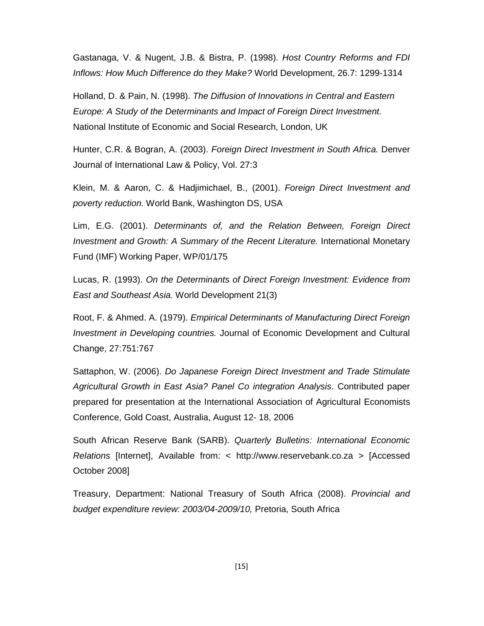Gastanaga, V. & Nugent, J.B. & Bistra, P. (1998). Host Country Reforms and FDI Inflows: How Much Difference do they Make? World Development, 26.7: 1299-1314

Holland, D. & Pain, N. (1998). The Diffusion of Innovations in Central and Eastern Europe: A Study of the Determinants and Impact of Foreign Direct Investment. National Institute of Economic and Social Research, London, UK

Hunter, C.R. & Bogran, A. (2003). Foreign Direct Investment in South Africa. Denver Journal of International Law & Policy, Vol. 27:3

Klein, M. & Aaron, C. & Hadjimichael, B., (2001). Foreign Direct Investment and poverty reduction. World Bank, Washington DS, USA

Lim, E.G. (2001). Determinants of, and the Relation Between, Foreign Direct Investment and Growth: A Summary of the Recent Literature. International Monetary Fund (IMF) Working Paper, WP/01/175

Lucas, R. (1993). On the Determinants of Direct Foreign Investment: Evidence from East and Southeast Asia. World Development 21(3)

Root, F. & Ahmed. A. (1979). Empirical Determinants of Manufacturing Direct Foreign Investment in Developing countries. Journal of Economic Development and Cultural Change, 27:751:767

Sattaphon, W. (2006). Do Japanese Foreign Direct Investment and Trade Stimulate Agricultural Growth in East Asia? Panel Co integration Analysis. Contributed paper prepared for presentation at the International Association of Agricultural Economists Conference, Gold Coast, Australia, August 12- 18, 2006

South African Reserve Bank (SARB). Quarterly Bulletins: International Economic Relations [Internet], Available from: < http://www.reservebank.co.za > [Accessed October 2008]

Treasury, Department: National Treasury of South Africa (2008). Provincial and budget expenditure review: 2003/04-2009/10, Pretoria, South Africa